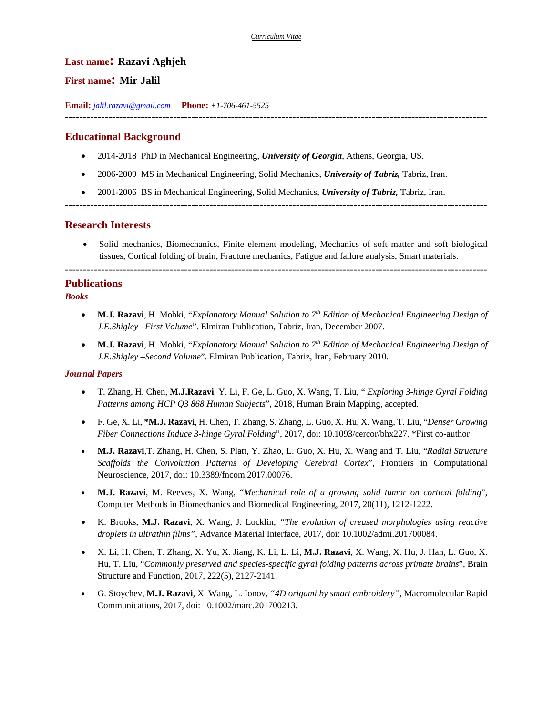### **Last name: Razavi Aghjeh**

# **First name: Mir Jalil**

**Email:** *jalil.razavi@gmail.com* **Phone:** *+1-706-461-5525* 

---------------------------------------------------------------------------------------------------------------------

# **Educational Background**

- 2014-2018 PhD in Mechanical Engineering, *University of Georgia*, Athens, Georgia, US.
- 2006-2009 MS in Mechanical Engineering, Solid Mechanics, *University of Tabriz,* Tabriz, Iran.
- 2001-2006 BS in Mechanical Engineering, Solid Mechanics, *University of Tabriz,* Tabriz, Iran.

---------------------------------------------------------------------------------------------------------------------

### **Research Interests**

 Solid mechanics, Biomechanics, Finite element modeling, Mechanics of soft matter and soft biological tissues, Cortical folding of brain, Fracture mechanics, Fatigue and failure analysis, Smart materials.

---------------------------------------------------------------------------------------------------------------------

## **Publications**

### *Books*

- **M.J. Razavi**, H. Mobki, "*Explanatory Manual Solution to 7th Edition of Mechanical Engineering Design of J.E.Shigley –First Volume*". Elmiran Publication, Tabriz, Iran, December 2007.
- **M.J. Razavi**, H. Mobki, "*Explanatory Manual Solution to 7th Edition of Mechanical Engineering Design of J.E.Shigley –Second Volume*". Elmiran Publication, Tabriz, Iran, February 2010.

#### *Journal Papers*

- T. Zhang, H. Chen, **M.J.Razavi**, Y. Li, F. Ge, L. Guo, X. Wang, T. Liu, " *Exploring 3-hinge Gyral Folding Patterns among HCP Q3 868 Human Subjects*", 2018, Human Brain Mapping, accepted.
- F. Ge, X. Li, **\*M.J. Razavi**, H. Chen, T. Zhang, S. Zhang, L. Guo, X. Hu, X. Wang, T. Liu, "*Denser Growing Fiber Connections Induce 3-hinge Gyral Folding*", 2017, doi: 10.1093/cercor/bhx227. \*First co-author
- **M.J. Razavi***,*T. Zhang, H. Chen, S. Platt, Y. Zhao, L. Guo, X. Hu, X. Wang and T. Liu, "*Radial Structure Scaffolds the Convolution Patterns of Developing Cerebral Cortex*", Frontiers in Computational Neuroscience, 2017, doi: 10.3389/fncom.2017.00076.
- **M.J. Razavi**, M. Reeves, X. Wang, "*Mechanical role of a growing solid tumor on cortical folding*", Computer Methods in Biomechanics and Biomedical Engineering, 2017, 20(11), 1212-1222.
- K. Brooks, **M.J. Razavi**, X. Wang, J. Locklin, *"The evolution of creased morphologies using reactive droplets in ultrathin films"*, Advance Material Interface, 2017, doi: 10.1002/admi.201700084.
- X. Li, H. Chen, T. Zhang, X. Yu, X. Jiang, K. Li, L. Li, **M.J. Razavi**, X. Wang, X. Hu, J. Han, L. Guo, X. Hu, T. Liu, "*Commonly preserved and species-specific gyral folding patterns across primate brains*", Brain Structure and Function, 2017, 222(5), 2127-2141.
- G. Stoychev, **M.J. Razavi**, X. Wang, L. Ionov, *"4D origami by smart embroidery"*, Macromolecular Rapid Communications, 2017, doi: 10.1002/marc.201700213.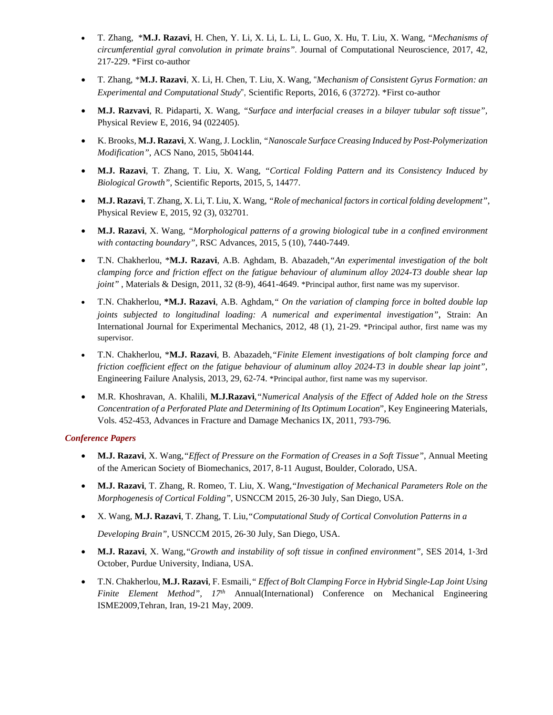- T. Zhang,\***M.J. Razavi**, H. Chen, Y. Li, X. Li, L. Li, L. Guo, X. Hu, T. Liu, X. Wang, *"Mechanisms of circumferential gyral convolution in primate brains".* Journal of Computational Neuroscience, 2017, 42, 217-229. \*First co-author
- T. Zhang, \***M.J. Razavi**, X. Li, H. Chen, T. Liu, X. Wang, "*Mechanism of Consistent Gyrus Formation: an Experimental and Computational Study*", Scientific Reports, 2016, 6 (37272). \*First co-author
- **M.J. Razvavi**, R. Pidaparti, X. Wang, *"Surface and interfacial creases in a bilayer tubular soft tissue",*  Physical Review E, 2016, 94 (022405).
- K. Brooks, **M.J. Razavi**, X. Wang, J. Locklin, *"Nanoscale Surface Creasing Induced by Post-Polymerization Modification"*, ACS Nano, 2015, 5b04144.
- **M.J. Razavi**, T. Zhang, T. Liu, X. Wang, *"Cortical Folding Pattern and its Consistency Induced by Biological Growth"*, Scientific Reports, 2015, 5, 14477.
- **M.J. Razavi**, T. Zhang, X. Li, T. Liu, X. Wang, *"Role of mechanical factors in cortical folding development"*, Physical Review E, 2015, 92 (3), 032701.
- **M.J. Razavi**, X. Wang, *"Morphological patterns of a growing biological tube in a confined environment with contacting boundary"*, RSC Advances, 2015, 5 (10), 7440-7449.
- T.N. Chakherlou, \***M.J. Razavi**, A.B. Aghdam, B. Abazadeh,*"An experimental investigation of the bolt clamping force and friction effect on the fatigue behaviour of aluminum alloy 2024-T3 double shear lap joint"*, Materials & Design, 2011, 32 (8-9), 4641-4649. \*Principal author, first name was my supervisor.
- T.N. Chakherlou, **\*M.J. Razavi**, A.B. Aghdam,*" On the variation of clamping force in bolted double lap joints subjected to longitudinal loading: A numerical and experimental investigation"*, Strain: An International Journal for Experimental Mechanics, 2012, 48 (1), 21-29. \*Principal author, first name was my supervisor.
- T.N. Chakherlou, \***M.J. Razavi**, B. Abazadeh,*"Finite Element investigations of bolt clamping force and friction coefficient effect on the fatigue behaviour of aluminum alloy 2024-T3 in double shear lap joint",*  Engineering Failure Analysis, 2013, 29, 62-74. \*Principal author, first name was my supervisor.
- M.R. Khoshravan, A. Khalili, **M.J.Razavi**,*"Numerical Analysis of the Effect of Added hole on the Stress Concentration of a Perforated Plate and Determining of Its Optimum Location*", Key Engineering Materials, Vols. 452-453, Advances in Fracture and Damage Mechanics IX, 2011, 793-796.

#### *Conference Papers*

- **M.J. Razavi**, X. Wang,*"Effect of Pressure on the Formation of Creases in a Soft Tissue"*, Annual Meeting of the American Society of Biomechanics, 2017, 8-11 August, Boulder, Colorado, USA.
- **M.J. Razavi**, T. Zhang, R. Romeo, T. Liu, X. Wang,*"Investigation of Mechanical Parameters Role on the Morphogenesis of Cortical Folding"*, USNCCM 2015, 26‐30 July, San Diego, USA.
- X. Wang, **M.J. Razavi**, T. Zhang, T. Liu,*"Computational Study of Cortical Convolution Patterns in a*

*Developing Brain"*, USNCCM 2015, 26‐30 July, San Diego, USA.

- **M.J. Razavi**, X. Wang,*"Growth and instability of soft tissue in confined environment"*, SES 2014, 1‐3rd October, Purdue University, Indiana, USA.
- T.N. Chakherlou, **M.J. Razavi**, F. Esmaili,*" Effect of Bolt Clamping Force in Hybrid Single-Lap Joint Using Finite Element Method", 17<sup>th</sup>* Annual(International) Conference on Mechanical Engineering ISME2009,Tehran, Iran, 19-21 May, 2009.